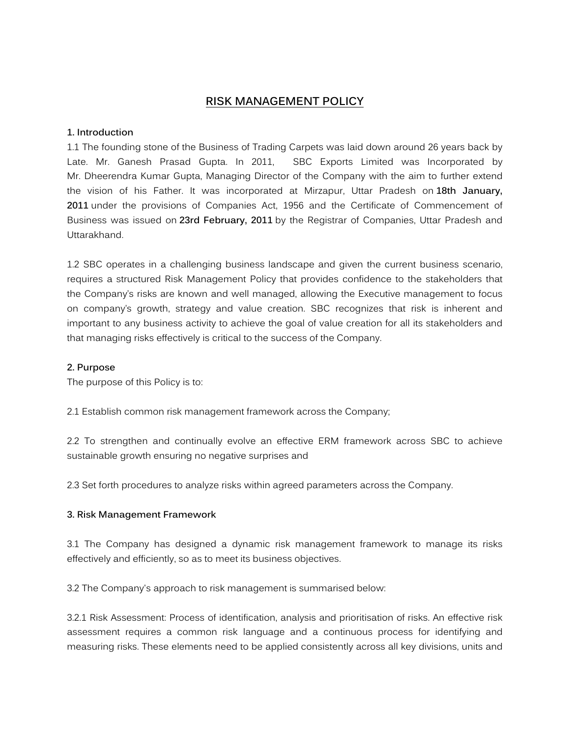# **RISK MANAGEMENT POLICY**

### **1. Introduction**

1.1 The founding stone of the Business of Trading Carpets was laid down around 26 years back by Late. Mr. Ganesh Prasad Gupta. In 2011, SBC Exports Limited was Incorporated by Mr. Dheerendra Kumar Gupta, Managing Director of the Company with the aim to further extend the vision of his Father. It was incorporated at Mirzapur, Uttar Pradesh on **18th January, 2011** under the provisions of Companies Act, 1956 and the Certificate of Commencement of Business was issued on **23rd February, 2011** by the Registrar of Companies, Uttar Pradesh and Uttarakhand.

1.2 SBC operates in a challenging business landscape and given the current business scenario, requires a structured Risk Management Policy that provides confidence to the stakeholders that the Company's risks are known and well managed, allowing the Executive management to focus on company's growth, strategy and value creation. SBC recognizes that risk is inherent and important to any business activity to achieve the goal of value creation for all its stakeholders and that managing risks effectively is critical to the success of the Company.

### **2. Purpose**

The purpose of this Policy is to:

2.1 Establish common risk management framework across the Company;

2.2 To strengthen and continually evolve an effective ERM framework across SBC to achieve sustainable growth ensuring no negative surprises and

2.3 Set forth procedures to analyze risks within agreed parameters across the Company.

### **3. Risk Management Framework**

3.1 The Company has designed a dynamic risk management framework to manage its risks effectively and efficiently, so as to meet its business objectives.

3.2 The Company's approach to risk management is summarised below:

3.2.1 Risk Assessment: Process of identification, analysis and prioritisation of risks. An effective risk assessment requires a common risk language and a continuous process for identifying and measuring risks. These elements need to be applied consistently across all key divisions, units and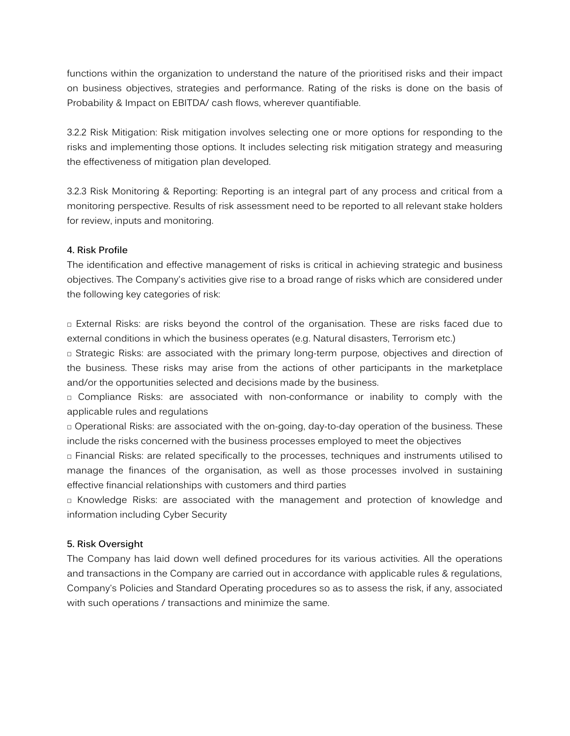functions within the organization to understand the nature of the prioritised risks and their impact on business objectives, strategies and performance. Rating of the risks is done on the basis of Probability & Impact on EBITDA/ cash flows, wherever quantifiable.

3.2.2 Risk Mitigation: Risk mitigation involves selecting one or more options for responding to the risks and implementing those options. It includes selecting risk mitigation strategy and measuring the effectiveness of mitigation plan developed.

3.2.3 Risk Monitoring & Reporting: Reporting is an integral part of any process and critical from a monitoring perspective. Results of risk assessment need to be reported to all relevant stake holders for review, inputs and monitoring.

### **4. Risk Profile**

The identification and effective management of risks is critical in achieving strategic and business objectives. The Company's activities give rise to a broad range of risks which are considered under the following key categories of risk:

 External Risks: are risks beyond the control of the organisation. These are risks faced due to external conditions in which the business operates (e.g. Natural disasters, Terrorism etc.)

 Strategic Risks: are associated with the primary long-term purpose, objectives and direction of the business. These risks may arise from the actions of other participants in the marketplace and/or the opportunities selected and decisions made by the business.

 Compliance Risks: are associated with non-conformance or inability to comply with the applicable rules and regulations

 Operational Risks: are associated with the on-going, day-to-day operation of the business. These include the risks concerned with the business processes employed to meet the objectives

 Financial Risks: are related specifically to the processes, techniques and instruments utilised to manage the finances of the organisation, as well as those processes involved in sustaining effective financial relationships with customers and third parties

 Knowledge Risks: are associated with the management and protection of knowledge and information including Cyber Security

### **5. Risk Oversight**

The Company has laid down well defined procedures for its various activities. All the operations and transactions in the Company are carried out in accordance with applicable rules & regulations, Company's Policies and Standard Operating procedures so as to assess the risk, if any, associated with such operations / transactions and minimize the same.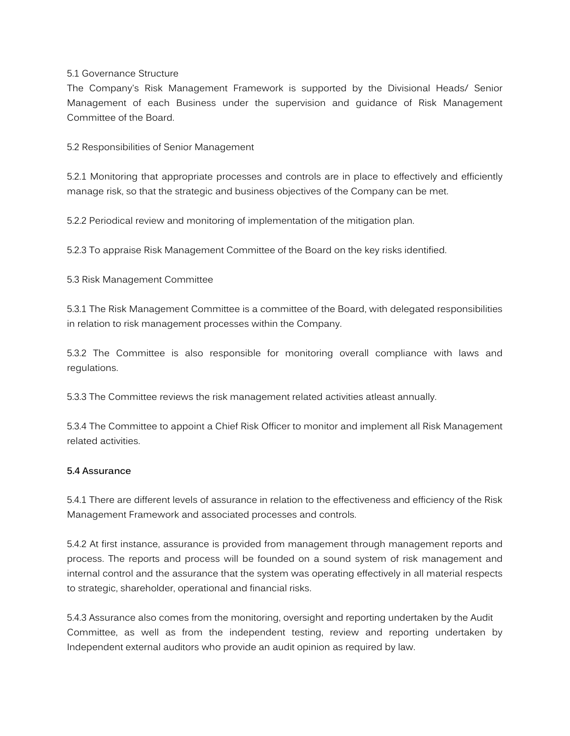### 5.1 Governance Structure

The Company's Risk Management Framework is supported by the Divisional Heads/ Senior Management of each Business under the supervision and guidance of Risk Management Committee of the Board.

5.2 Responsibilities of Senior Management

5.2.1 Monitoring that appropriate processes and controls are in place to effectively and efficiently manage risk, so that the strategic and business objectives of the Company can be met.

5.2.2 Periodical review and monitoring of implementation of the mitigation plan.

5.2.3 To appraise Risk Management Committee of the Board on the key risks identified.

5.3 Risk Management Committee

5.3.1 The Risk Management Committee is a committee of the Board, with delegated responsibilities in relation to risk management processes within the Company.

5.3.2 The Committee is also responsible for monitoring overall compliance with laws and regulations.

5.3.3 The Committee reviews the risk management related activities atleast annually.

5.3.4 The Committee to appoint a Chief Risk Officer to monitor and implement all Risk Management related activities.

### **5.4 Assurance**

5.4.1 There are different levels of assurance in relation to the effectiveness and efficiency of the Risk Management Framework and associated processes and controls.

5.4.2 At first instance, assurance is provided from management through management reports and process. The reports and process will be founded on a sound system of risk management and internal control and the assurance that the system was operating effectively in all material respects to strategic, shareholder, operational and financial risks.

5.4.3 Assurance also comes from the monitoring, oversight and reporting undertaken by the Audit Committee, as well as from the independent testing, review and reporting undertaken by Independent external auditors who provide an audit opinion as required by law.